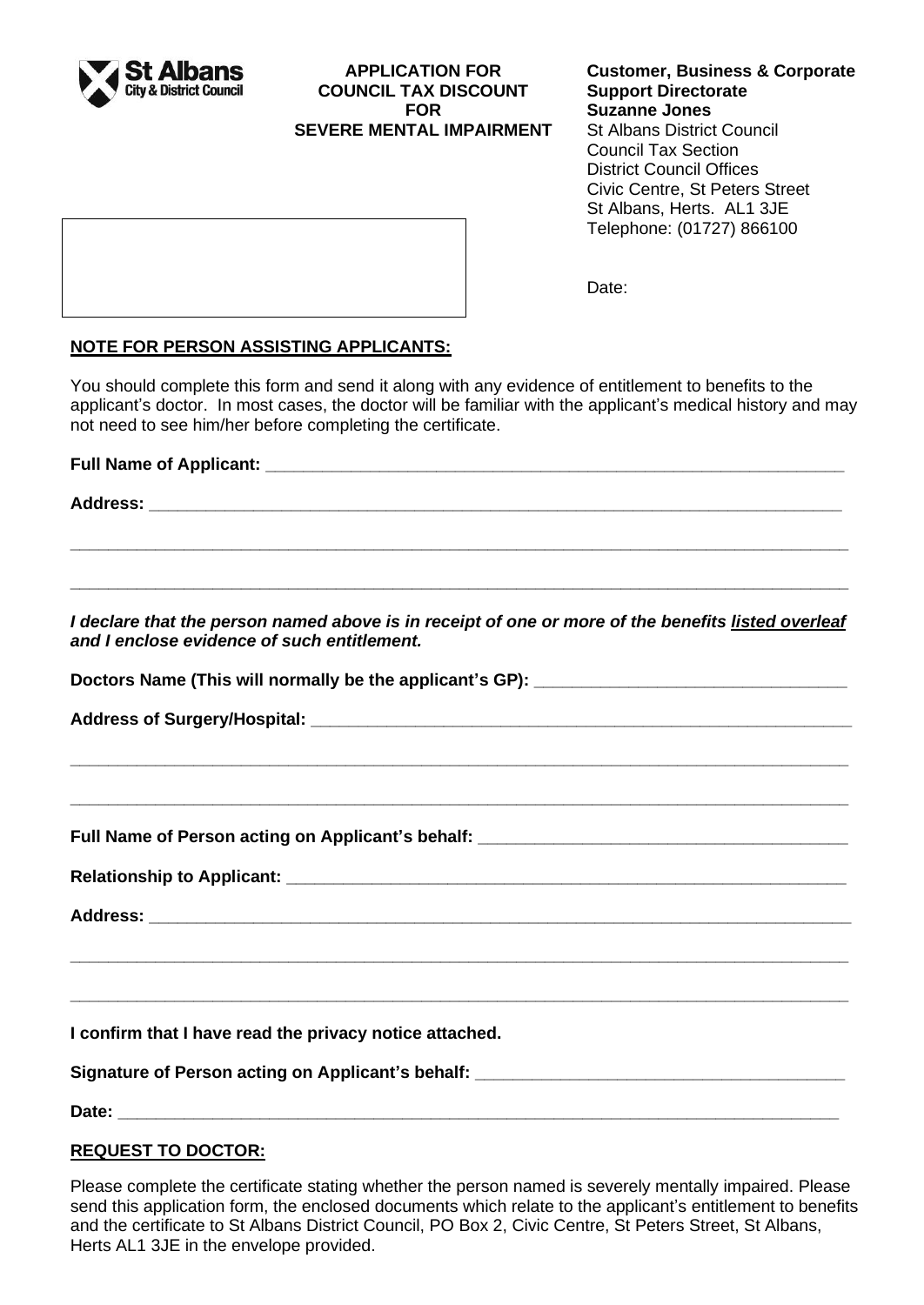

# **APPLICATION FOR COUNCIL TAX DISCOUNT FOR SEVERE MENTAL IMPAIRMENT**

# **Customer, Business & Corporate Support Directorate Suzanne Jones**

St Albans District Council Council Tax Section District Council Offices Civic Centre, St Peters Street St Albans, Herts. AL1 3JE Telephone: (01727) 866100

Date:

# **NOTE FOR PERSON ASSISTING APPLICANTS:**

You should complete this form and send it along with any evidence of entitlement to benefits to the applicant's doctor. In most cases, the doctor will be familiar with the applicant's medical history and may not need to see him/her before completing the certificate.

**Full Name of Applicant: Address: \_\_\_\_\_\_\_\_\_\_\_\_\_\_\_\_\_\_\_\_\_\_\_\_\_\_\_\_\_\_\_\_\_\_\_\_\_\_\_\_\_\_\_\_\_\_\_\_\_\_\_\_\_\_\_\_\_\_\_\_\_\_\_\_\_\_\_\_\_\_\_\_\_**

**\_\_\_\_\_\_\_\_\_\_\_\_\_\_\_\_\_\_\_\_\_\_\_\_\_\_\_\_\_\_\_\_\_\_\_\_\_\_\_\_\_\_\_\_\_\_\_\_\_\_\_\_\_\_\_\_\_\_\_\_\_\_\_\_\_\_\_\_\_\_\_\_\_\_\_\_\_\_\_\_\_\_**

**\_\_\_\_\_\_\_\_\_\_\_\_\_\_\_\_\_\_\_\_\_\_\_\_\_\_\_\_\_\_\_\_\_\_\_\_\_\_\_\_\_\_\_\_\_\_\_\_\_\_\_\_\_\_\_\_\_\_\_\_\_\_\_\_\_\_\_\_\_\_\_\_\_\_\_\_\_\_\_\_\_\_**

*I declare that the person named above is in receipt of one or more of the benefits listed overleaf and I enclose evidence of such entitlement.*

**\_\_\_\_\_\_\_\_\_\_\_\_\_\_\_\_\_\_\_\_\_\_\_\_\_\_\_\_\_\_\_\_\_\_\_\_\_\_\_\_\_\_\_\_\_\_\_\_\_\_\_\_\_\_\_\_\_\_\_\_\_\_\_\_\_\_\_\_\_\_\_\_\_\_\_\_\_\_\_\_\_\_**

**\_\_\_\_\_\_\_\_\_\_\_\_\_\_\_\_\_\_\_\_\_\_\_\_\_\_\_\_\_\_\_\_\_\_\_\_\_\_\_\_\_\_\_\_\_\_\_\_\_\_\_\_\_\_\_\_\_\_\_\_\_\_\_\_\_\_\_\_\_\_\_\_\_\_\_\_\_\_\_\_\_\_**

**\_\_\_\_\_\_\_\_\_\_\_\_\_\_\_\_\_\_\_\_\_\_\_\_\_\_\_\_\_\_\_\_\_\_\_\_\_\_\_\_\_\_\_\_\_\_\_\_\_\_\_\_\_\_\_\_\_\_\_\_\_\_\_\_\_\_\_\_\_\_\_\_\_\_\_\_\_\_\_\_\_\_**

**\_\_\_\_\_\_\_\_\_\_\_\_\_\_\_\_\_\_\_\_\_\_\_\_\_\_\_\_\_\_\_\_\_\_\_\_\_\_\_\_\_\_\_\_\_\_\_\_\_\_\_\_\_\_\_\_\_\_\_\_\_\_\_\_\_\_\_\_\_\_\_\_\_\_\_\_\_\_\_\_\_\_**

Doctors Name (This will normally be the applicant's GP): **with all and the example of the system** 

**Address of Surgery/Hospital: \_\_\_\_\_\_\_\_\_\_\_\_\_\_\_\_\_\_\_\_\_\_\_\_\_\_\_\_\_\_\_\_\_\_\_\_\_\_\_\_\_\_\_\_\_\_\_\_\_\_\_\_\_\_\_\_\_**

**Full Name of Person acting on Applicant's behalf: \_\_\_\_\_\_\_\_\_\_\_\_\_\_\_\_\_\_\_\_\_\_\_\_\_\_\_\_\_\_\_\_\_\_\_\_\_\_\_**

**Relationship to Applicant: \_\_\_\_\_\_\_\_\_\_\_\_\_\_\_\_\_\_\_\_\_\_\_\_\_\_\_\_\_\_\_\_\_\_\_\_\_\_\_\_\_\_\_\_\_\_\_\_\_\_\_\_\_\_\_\_\_\_\_**

 $Address:$ 

**I confirm that I have read the privacy notice attached.**

Signature of Person acting on Applicant's behalf: \_\_\_\_\_\_\_\_\_\_\_\_\_\_\_\_\_\_\_\_\_\_\_\_\_\_\_\_\_\_\_

**Date: Date:** *with the state of the state of the state of the state of the state of the state of the state of the state of the state of the state of the state of the state of the state of the state of the state of the* 

# **REQUEST TO DOCTOR:**

Please complete the certificate stating whether the person named is severely mentally impaired. Please send this application form, the enclosed documents which relate to the applicant's entitlement to benefits and the certificate to St Albans District Council, PO Box 2, Civic Centre, St Peters Street, St Albans, Herts AL1 3JE in the envelope provided.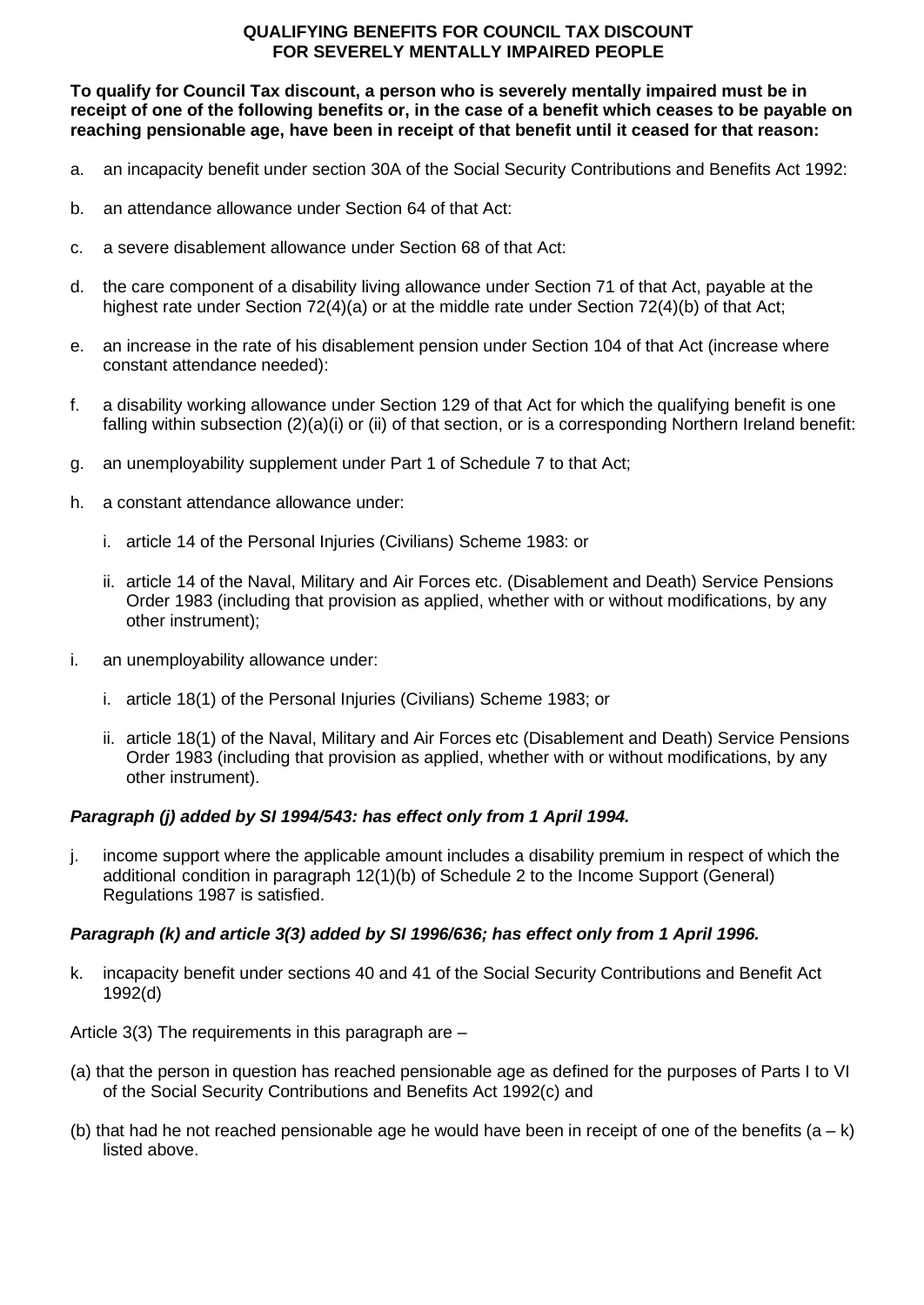## **QUALIFYING BENEFITS FOR COUNCIL TAX DISCOUNT FOR SEVERELY MENTALLY IMPAIRED PEOPLE**

**To qualify for Council Tax discount, a person who is severely mentally impaired must be in receipt of one of the following benefits or, in the case of a benefit which ceases to be payable on reaching pensionable age, have been in receipt of that benefit until it ceased for that reason:**

- a. an incapacity benefit under section 30A of the Social Security Contributions and Benefits Act 1992:
- b. an attendance allowance under Section 64 of that Act:
- c. a severe disablement allowance under Section 68 of that Act:
- d. the care component of a disability living allowance under Section 71 of that Act, payable at the highest rate under Section 72(4)(a) or at the middle rate under Section 72(4)(b) of that Act;
- e. an increase in the rate of his disablement pension under Section 104 of that Act (increase where constant attendance needed):
- f. a disability working allowance under Section 129 of that Act for which the qualifying benefit is one falling within subsection (2)(a)(i) or (ii) of that section, or is a corresponding Northern Ireland benefit:
- g. an unemployability supplement under Part 1 of Schedule 7 to that Act;
- h. a constant attendance allowance under:
	- i. article 14 of the Personal Injuries (Civilians) Scheme 1983: or
	- ii. article 14 of the Naval, Military and Air Forces etc. (Disablement and Death) Service Pensions Order 1983 (including that provision as applied, whether with or without modifications, by any other instrument);
- i. an unemployability allowance under:
	- i. article 18(1) of the Personal Injuries (Civilians) Scheme 1983; or
	- ii. article 18(1) of the Naval, Military and Air Forces etc (Disablement and Death) Service Pensions Order 1983 (including that provision as applied, whether with or without modifications, by any other instrument).

# *Paragraph (j) added by SI 1994/543: has effect only from 1 April 1994.*

j. income support where the applicable amount includes a disability premium in respect of which the additional condition in paragraph 12(1)(b) of Schedule 2 to the Income Support (General) Regulations 1987 is satisfied.

# *Paragraph (k) and article 3(3) added by SI 1996/636; has effect only from 1 April 1996.*

k. incapacity benefit under sections 40 and 41 of the Social Security Contributions and Benefit Act 1992(d)

Article 3(3) The requirements in this paragraph are –

- (a) that the person in question has reached pensionable age as defined for the purposes of Parts I to VI of the Social Security Contributions and Benefits Act 1992(c) and
- (b) that had he not reached pensionable age he would have been in receipt of one of the benefits  $(a k)$ listed above.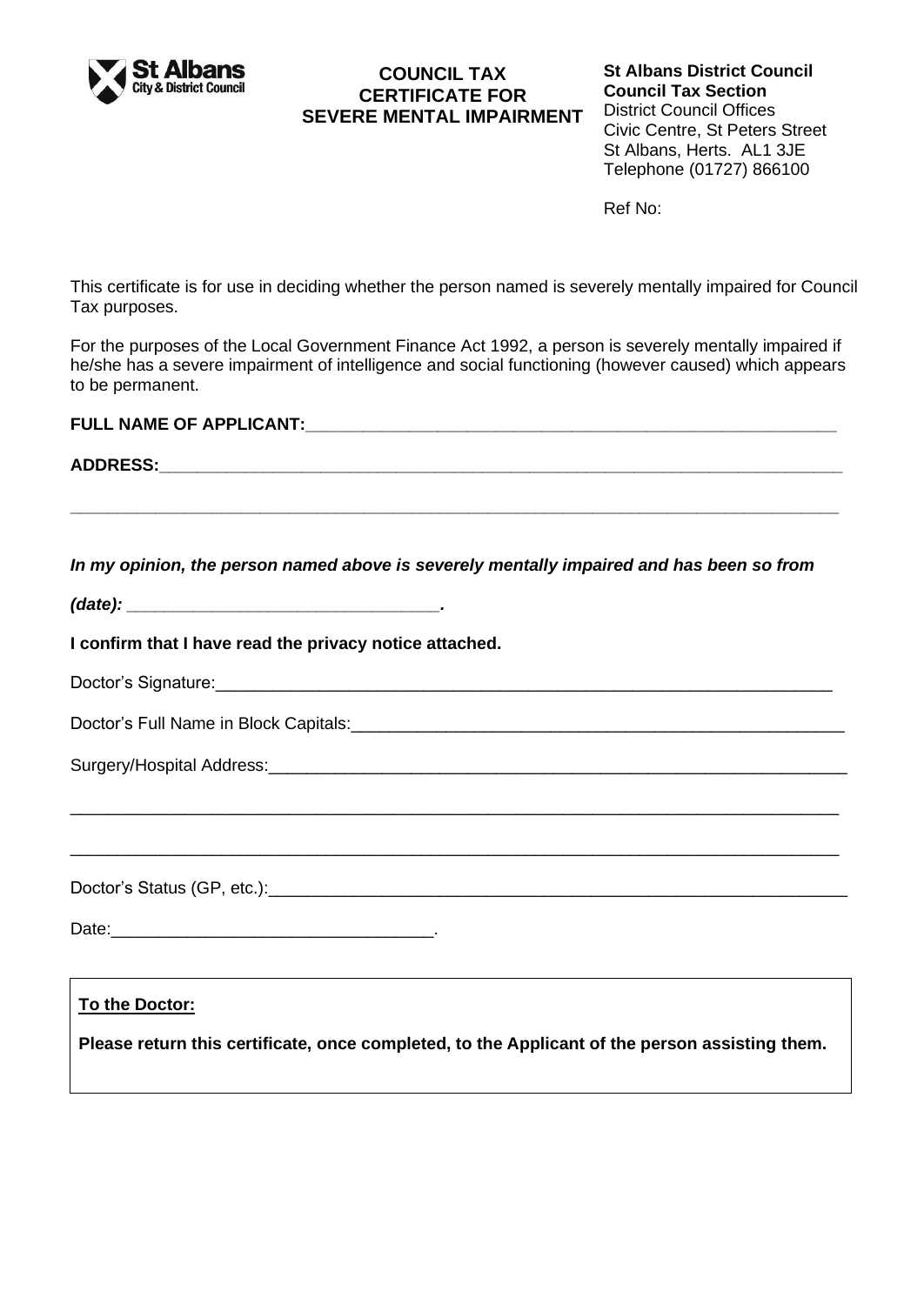

# **COUNCIL TAX CERTIFICATE FOR SEVERE MENTAL IMPAIRMENT**

**St Albans District Council Council Tax Section** District Council Offices Civic Centre, St Peters Street St Albans, Herts. AL1 3JE Telephone (01727) 866100

Ref No:

This certificate is for use in deciding whether the person named is severely mentally impaired for Council Tax purposes.

For the purposes of the Local Government Finance Act 1992, a person is severely mentally impaired if he/she has a severe impairment of intelligence and social functioning (however caused) which appears to be permanent.

**FULL NAME OF APPLICANT:\_\_\_\_\_\_\_\_\_\_\_\_\_\_\_\_\_\_\_\_\_\_\_\_\_\_\_\_\_\_\_\_\_\_\_\_\_\_\_\_\_\_\_\_\_\_\_\_\_\_\_\_\_\_\_\_**

**ADDRESS:\_\_\_\_\_\_\_\_\_\_\_\_\_\_\_\_\_\_\_\_\_\_\_\_\_\_\_\_\_\_\_\_\_\_\_\_\_\_\_\_\_\_\_\_\_\_\_\_\_\_\_\_\_\_\_\_\_\_\_\_\_\_\_\_\_\_\_\_\_\_\_\_**

*In my opinion, the person named above is severely mentally impaired and has been so from* 

**\_\_\_\_\_\_\_\_\_\_\_\_\_\_\_\_\_\_\_\_\_\_\_\_\_\_\_\_\_\_\_\_\_\_\_\_\_\_\_\_\_\_\_\_\_\_\_\_\_\_\_\_\_\_\_\_\_\_\_\_\_\_\_\_\_\_\_\_\_\_\_\_\_\_\_\_\_\_\_\_\_**

| (data): |  |  |  |
|---------|--|--|--|
|         |  |  |  |

**I confirm that I have read the privacy notice attached.**

| Doctor's Signature: |  |
|---------------------|--|
|                     |  |

\_\_\_\_\_\_\_\_\_\_\_\_\_\_\_\_\_\_\_\_\_\_\_\_\_\_\_\_\_\_\_\_\_\_\_\_\_\_\_\_\_\_\_\_\_\_\_\_\_\_\_\_\_\_\_\_\_\_\_\_\_\_\_\_\_\_\_\_\_\_\_\_\_\_\_\_\_\_\_\_\_

\_\_\_\_\_\_\_\_\_\_\_\_\_\_\_\_\_\_\_\_\_\_\_\_\_\_\_\_\_\_\_\_\_\_\_\_\_\_\_\_\_\_\_\_\_\_\_\_\_\_\_\_\_\_\_\_\_\_\_\_\_\_\_\_\_\_\_\_\_\_\_\_\_\_\_\_\_\_\_\_\_

Doctor's Full Name in Block Capitals:

Surgery/Hospital Address: **Example 2018** 

Doctor's Status (GP, etc.):\_\_\_\_\_\_\_\_\_\_\_\_\_\_\_\_\_\_\_\_\_\_\_\_\_\_\_\_\_\_\_\_\_\_\_\_\_\_\_\_\_\_\_\_\_\_\_\_\_\_\_\_\_\_\_\_\_\_\_\_\_

Date:\_\_\_\_\_\_\_\_\_\_\_\_\_\_\_\_\_\_\_\_\_\_\_\_\_\_\_\_\_\_\_\_\_\_.

# **To the Doctor:**

**Please return this certificate, once completed, to the Applicant of the person assisting them.**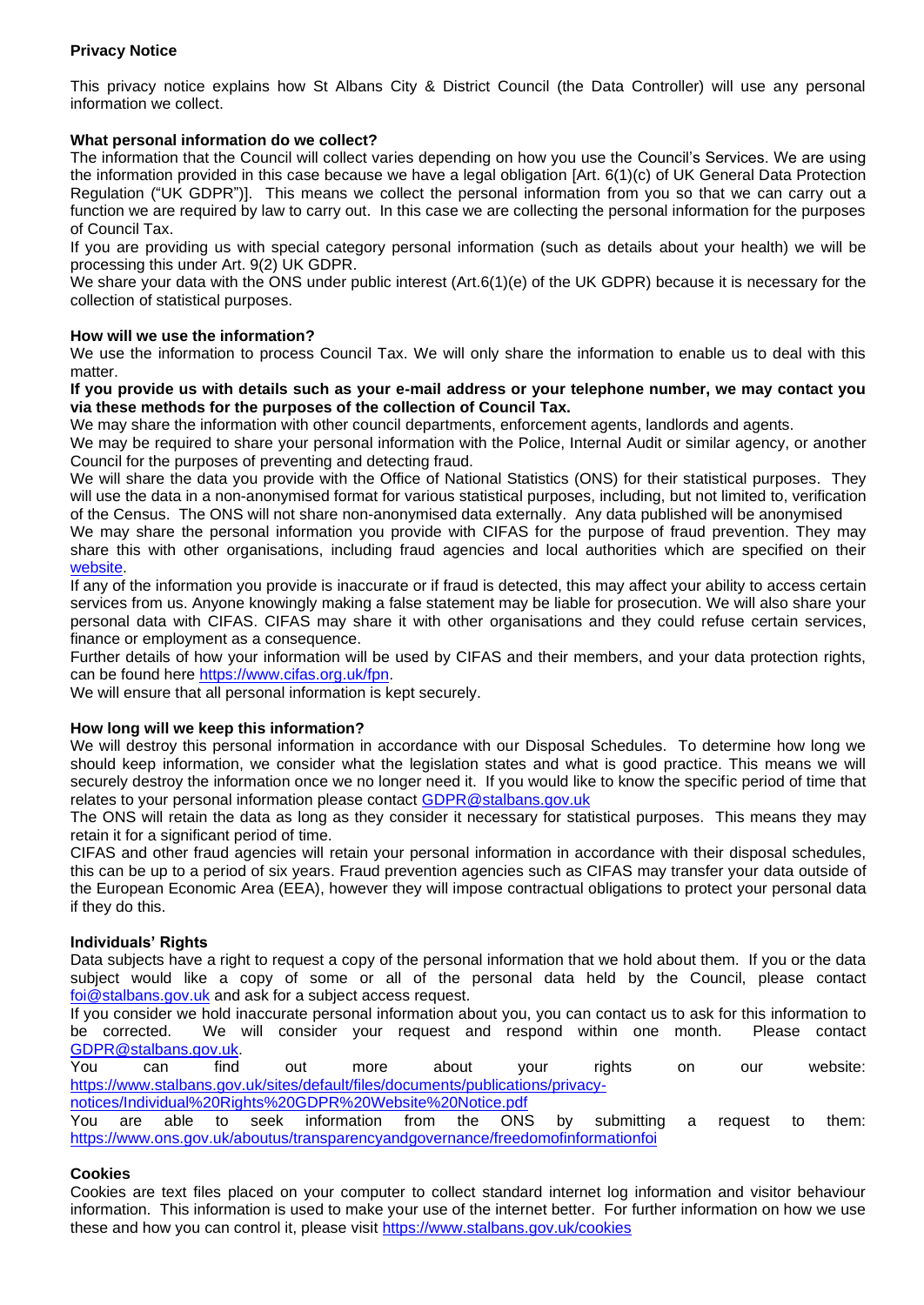## **Privacy Notice**

This privacy notice explains how St Albans City & District Council (the Data Controller) will use any personal information we collect.

## **What personal information do we collect?**

The information that the Council will collect varies depending on how you use the Council's Services. We are using the information provided in this case because we have a legal obligation [Art. 6(1)(c) of UK General Data Protection Regulation ("UK GDPR")]. This means we collect the personal information from you so that we can carry out a function we are required by law to carry out. In this case we are collecting the personal information for the purposes of Council Tax.

If you are providing us with special category personal information (such as details about your health) we will be processing this under Art. 9(2) UK GDPR.

We share your data with the ONS under public interest (Art.6(1)(e) of the UK GDPR) because it is necessary for the collection of statistical purposes.

### **How will we use the information?**

We use the information to process Council Tax. We will only share the information to enable us to deal with this matter

### **If you provide us with details such as your e-mail address or your telephone number, we may contact you via these methods for the purposes of the collection of Council Tax.**

We may share the information with other council departments, enforcement agents, landlords and agents.

We may be required to share your personal information with the Police, Internal Audit or similar agency, or another Council for the purposes of preventing and detecting fraud.

We will share the data you provide with the Office of National Statistics (ONS) for their statistical purposes. They will use the data in a non-anonymised format for various statistical purposes, including, but not limited to, verification of the Census. The ONS will not share non-anonymised data externally. Any data published will be anonymised

We may share the personal information you provide with CIFAS for the purpose of fraud prevention. They may share this with other organisations, including fraud agencies and local authorities which are specified on their [website.](https://www.cifas.org.uk/)

If any of the information you provide is inaccurate or if fraud is detected, this may affect your ability to access certain services from us. Anyone knowingly making a false statement may be liable for prosecution. We will also share your personal data with CIFAS. CIFAS may share it with other organisations and they could refuse certain services, finance or employment as a consequence.

Further details of how your information will be used by CIFAS and their members, and your data protection rights, can be found here [https://www.cifas.org.uk/fpn.](https://www.cifas.org.uk/fpn)

We will ensure that all personal information is kept securely.

#### **How long will we keep this information?**

We will destroy this personal information in accordance with our Disposal Schedules. To determine how long we should keep information, we consider what the legislation states and what is good practice. This means we will securely destroy the information once we no longer need it. If you would like to know the specific period of time that relates to your personal information please contact [GDPR@stalbans.gov.uk](mailto:GDPR@stalbans.gov.uk)

The ONS will retain the data as long as they consider it necessary for statistical purposes. This means they may retain it for a significant period of time.

CIFAS and other fraud agencies will retain your personal information in accordance with their disposal schedules, this can be up to a period of six years. Fraud prevention agencies such as CIFAS may transfer your data outside of the European Economic Area (EEA), however they will impose contractual obligations to protect your personal data if they do this.

#### **Individuals' Rights**

Data subjects have a right to request a copy of the personal information that we hold about them. If you or the data subject would like a copy of some or all of the personal data held by the Council, please contact [foi@stalbans.gov.uk](mailto:foi@stalbans.gov.uk) and ask for a subject access request.

If you consider we hold inaccurate personal information about you, you can contact us to ask for this information to be corrected. We will consider your request and respond within one month. Please contact [GDPR@stalbans.gov.uk.](mailto:GDPR@stalbans.gov.uk)

You can find out more about your rights on our website: [https://www.stalbans.gov.uk/sites/default/files/documents/publications/privacy-](https://www.stalbans.gov.uk/sites/default/files/documents/publications/privacy-notices/Individual%20Rights%20GDPR%20Website%20Notice.pdf)

[notices/Individual%20Rights%20GDPR%20Website%20Notice.pdf](https://www.stalbans.gov.uk/sites/default/files/documents/publications/privacy-notices/Individual%20Rights%20GDPR%20Website%20Notice.pdf)

You are able to seek information from the ONS by submitting a request to them: <https://www.ons.gov.uk/aboutus/transparencyandgovernance/freedomofinformationfoi>

## **Cookies**

Cookies are text files placed on your computer to collect standard internet log information and visitor behaviour information. This information is used to make your use of the internet better. For further information on how we use these and how you can control it, please visit<https://www.stalbans.gov.uk/cookies>